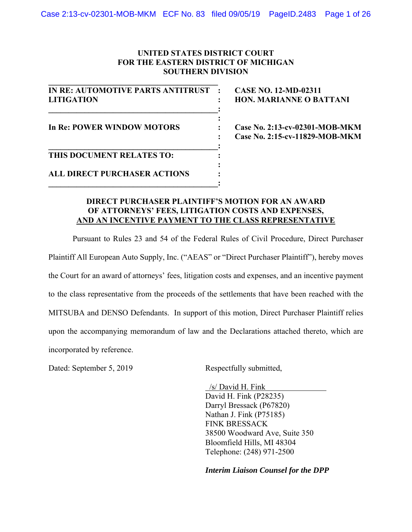### **UNITED STATES DISTRICT COURT FOR THE EASTERN DISTRICT OF MICHIGAN SOUTHERN DIVISION**

| <b>IN RE: AUTOMOTIVE PARTS ANTITRUST</b> |  |
|------------------------------------------|--|
| <b>LITIGATION</b>                        |  |
|                                          |  |
| <b>In Re: POWER WINDOW MOTORS</b>        |  |
|                                          |  |
|                                          |  |
| THIS DOCUMENT RELATES TO:                |  |
|                                          |  |
| <b>ALL DIRECT PURCHASER ACTIONS</b>      |  |
|                                          |  |

**CASE NO. 12-MD-02311 HON. MARIANNE O BATTANI** 

**Case No. 2:13-cv-02301-MOB-MKM : Case No. 2:15-cv-11829-MOB-MKM** 

#### **DIRECT PURCHASER PLAINTIFF'S MOTION FOR AN AWARD OF ATTORNEYS' FEES, LITIGATION COSTS AND EXPENSES, AND AN INCENTIVE PAYMENT TO THE CLASS REPRESENTATIVE**

Pursuant to Rules 23 and 54 of the Federal Rules of Civil Procedure, Direct Purchaser Plaintiff All European Auto Supply, Inc. ("AEAS" or "Direct Purchaser Plaintiff"), hereby moves the Court for an award of attorneys' fees, litigation costs and expenses, and an incentive payment to the class representative from the proceeds of the settlements that have been reached with the MITSUBA and DENSO Defendants. In support of this motion, Direct Purchaser Plaintiff relies upon the accompanying memorandum of law and the Declarations attached thereto, which are incorporated by reference.

Dated: September 5, 2019 Respectfully submitted,

 /s/ David H. Fink David H. Fink (P28235) Darryl Bressack (P67820) Nathan J. Fink (P75185) FINK BRESSACK 38500 Woodward Ave, Suite 350 Bloomfield Hills, MI 48304 Telephone: (248) 971-2500

*Interim Liaison Counsel for the DPP*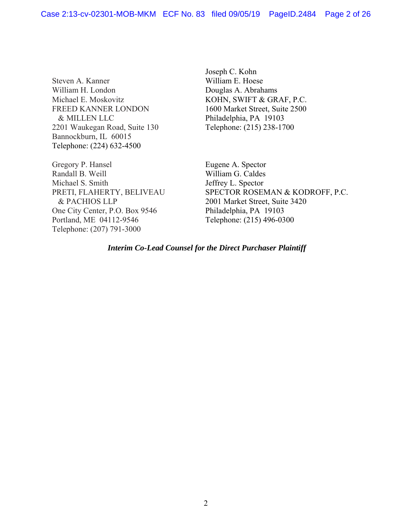Steven A. Kanner William H. London Michael E. Moskovitz FREED KANNER LONDON & MILLEN LLC 2201 Waukegan Road, Suite 130 Bannockburn, IL 60015 Telephone: (224) 632-4500

Gregory P. Hansel Randall B. Weill Michael S. Smith PRETI, FLAHERTY, BELIVEAU & PACHIOS LLP One City Center, P.O. Box 9546 Portland, ME 04112-9546 Telephone: (207) 791-3000

Joseph C. Kohn William E. Hoese Douglas A. Abrahams KOHN, SWIFT & GRAF, P.C. 1600 Market Street, Suite 2500 Philadelphia, PA 19103 Telephone: (215) 238-1700

Eugene A. Spector William G. Caldes Jeffrey L. Spector SPECTOR ROSEMAN & KODROFF, P.C. 2001 Market Street, Suite 3420 Philadelphia, PA 19103 Telephone: (215) 496-0300

## *Interim Co-Lead Counsel for the Direct Purchaser Plaintiff*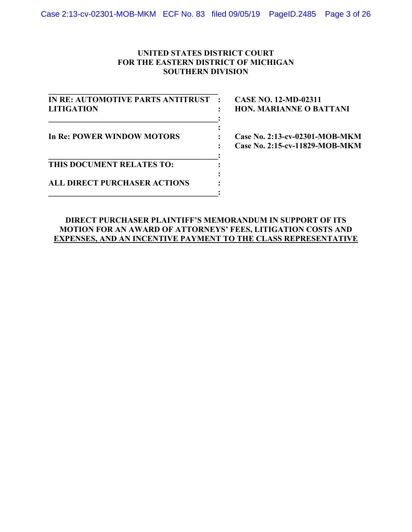## **UNITED STATES DISTRICT COURT FOR THE EASTERN DISTRICT OF MICHIGAN SOUTHERN DIVISION**

**IN RE: AUTOMOTIVE PARTS ANTITRUST : CASE NO. 12-MD-02311 LITIGATION : HON. MARIANNE O BATTANI**   $\mathbf{I} = \mathbf{I} \mathbf{I}$ *x*  $\mathbf{r}$   $\mathbf{r}$   $\mathbf{r}$   $\mathbf{r}$   $\mathbf{r}$   $\mathbf{r}$   $\mathbf{r}$   $\mathbf{r}$   $\mathbf{r}$   $\mathbf{r}$   $\mathbf{r}$   $\mathbf{r}$   $\mathbf{r}$   $\mathbf{r}$   $\mathbf{r}$   $\mathbf{r}$   $\mathbf{r}$   $\mathbf{r}$   $\mathbf{r}$   $\mathbf{r}$   $\mathbf{r}$   $\mathbf{r}$   $\mathbf{r}$   $\mathbf{r}$  In Re: POWER WINDOW MOTORS : Case No. 2:13-cv-02301-MOB-MKM  $\mathbf{I} = \mathbf{I} \mathbf{I}$ **THIS DOCUMENT RELATES TO: :**  *x*  $\mathbf{r}$   $\mathbf{r}$   $\mathbf{r}$   $\mathbf{r}$   $\mathbf{r}$   $\mathbf{r}$   $\mathbf{r}$   $\mathbf{r}$   $\mathbf{r}$   $\mathbf{r}$   $\mathbf{r}$   $\mathbf{r}$   $\mathbf{r}$   $\mathbf{r}$   $\mathbf{r}$   $\mathbf{r}$   $\mathbf{r}$   $\mathbf{r}$   $\mathbf{r}$   $\mathbf{r}$   $\mathbf{r}$   $\mathbf{r}$   $\mathbf{r}$   $\mathbf{r}$  **ALL DIRECT PURCHASER ACTIONS : \_\_\_\_\_\_\_\_\_\_\_\_\_\_\_\_\_\_\_\_\_\_\_\_\_\_\_\_\_\_\_\_\_\_\_\_\_\_\_\_\_\_:** 

**\_\_\_\_\_\_\_\_\_\_\_\_\_\_\_\_\_\_\_\_\_\_\_\_\_\_\_\_\_\_\_\_\_\_\_\_\_\_\_\_\_\_** 

 **: Case No. 2:15-cv-11829-MOB-MKM** 

## **DIRECT PURCHASER PLAINTIFF'S MEMORANDUM IN SUPPORT OF ITS MOTION FOR AN AWARD OF ATTORNEYS' FEES, LITIGATION COSTS AND EXPENSES, AND AN INCENTIVE PAYMENT TO THE CLASS REPRESENTATIVE**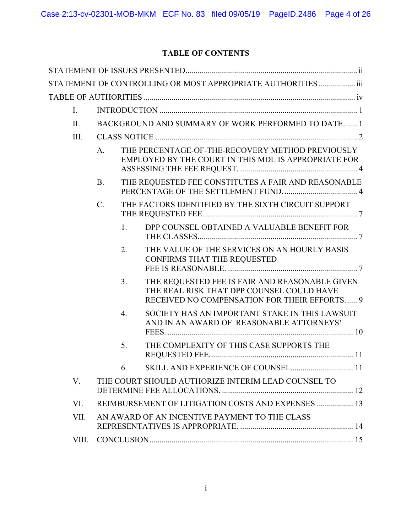# **TABLE OF CONTENTS**

|       |           |                  | STATEMENT OF CONTROLLING OR MOST APPROPRIATE AUTHORITIES  iii                                                                               |
|-------|-----------|------------------|---------------------------------------------------------------------------------------------------------------------------------------------|
|       |           |                  |                                                                                                                                             |
| I.    |           |                  |                                                                                                                                             |
| II.   |           |                  | BACKGROUND AND SUMMARY OF WORK PERFORMED TO DATE 1                                                                                          |
| III.  |           |                  |                                                                                                                                             |
|       | A.        |                  | THE PERCENTAGE-OF-THE-RECOVERY METHOD PREVIOUSLY<br>EMPLOYED BY THE COURT IN THIS MDL IS APPROPRIATE FOR                                    |
|       | <b>B.</b> |                  | THE REQUESTED FEE CONSTITUTES A FAIR AND REASONABLE                                                                                         |
|       | C.        |                  | THE FACTORS IDENTIFIED BY THE SIXTH CIRCUIT SUPPORT                                                                                         |
|       |           | 1.               | DPP COUNSEL OBTAINED A VALUABLE BENEFIT FOR                                                                                                 |
|       |           | 2.               | THE VALUE OF THE SERVICES ON AN HOURLY BASIS<br>CONFIRMS THAT THE REQUESTED                                                                 |
|       |           | 3.               | THE REQUESTED FEE IS FAIR AND REASONABLE GIVEN<br>THE REAL RISK THAT DPP COUNSEL COULD HAVE<br>RECEIVED NO COMPENSATION FOR THEIR EFFORTS 9 |
|       |           | $\overline{4}$ . | SOCIETY HAS AN IMPORTANT STAKE IN THIS LAWSUIT<br>AND IN AN AWARD OF REASONABLE ATTORNEYS'                                                  |
|       |           | 5.               | THE COMPLEXITY OF THIS CASE SUPPORTS THE                                                                                                    |
|       |           | 6.               |                                                                                                                                             |
| V.    |           |                  | THE COURT SHOULD AUTHORIZE INTERIM LEAD COUNSEL TO                                                                                          |
| VI.   |           |                  | REIMBURSEMENT OF LITIGATION COSTS AND EXPENSES  13                                                                                          |
| VII.  |           |                  | AN AWARD OF AN INCENTIVE PAYMENT TO THE CLASS                                                                                               |
| VIII. |           |                  |                                                                                                                                             |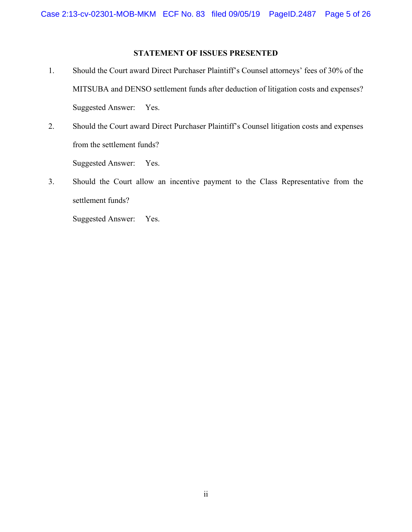## **STATEMENT OF ISSUES PRESENTED**

- 1. Should the Court award Direct Purchaser Plaintiff's Counsel attorneys' fees of 30% of the MITSUBA and DENSO settlement funds after deduction of litigation costs and expenses? Suggested Answer: Yes.
- 2. Should the Court award Direct Purchaser Plaintiff's Counsel litigation costs and expenses from the settlement funds? Suggested Answer: Yes.
- 3. Should the Court allow an incentive payment to the Class Representative from the settlement funds?

Suggested Answer: Yes.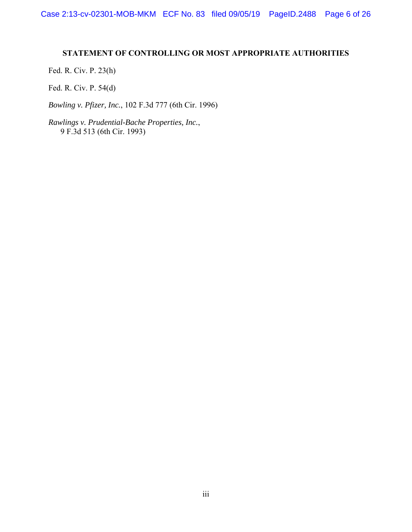# **STATEMENT OF CONTROLLING OR MOST APPROPRIATE AUTHORITIES**

Fed. R. Civ. P. 23(h)

Fed. R. Civ. P. 54(d)

*Bowling v. Pfizer, Inc.*, 102 F.3d 777 (6th Cir. 1996)

*Rawlings v. Prudential-Bache Properties, Inc.*, 9 F.3d 513 (6th Cir. 1993)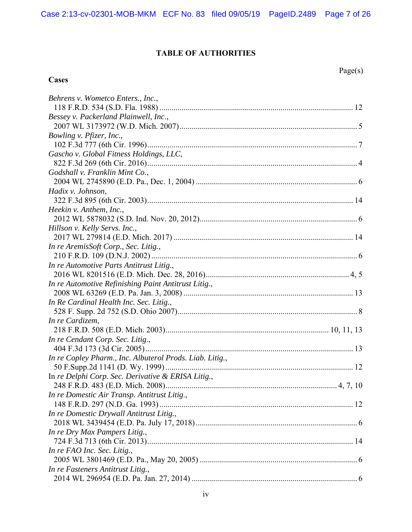# **TABLE OF AUTHORITIES**

**Cases** 

Page(s)

| Behrens v. Wometco Enters., Inc.,                        |
|----------------------------------------------------------|
|                                                          |
| Bessey v. Packerland Plainwell, Inc.,                    |
|                                                          |
| Bowling v. Pfizer, Inc.,                                 |
|                                                          |
| Gascho v. Global Fitness Holdings, LLC,                  |
|                                                          |
| Godshall v. Franklin Mint Co.,                           |
|                                                          |
| Hadix v. Johnson,                                        |
|                                                          |
| Heekin v. Anthem, Inc.,                                  |
|                                                          |
| Hillson v. Kelly Servs. Inc.,                            |
|                                                          |
| In re AremisSoft Corp., Sec. Litig.,                     |
|                                                          |
| In re Automotive Parts Antitrust Litig.,                 |
|                                                          |
| In re Automotive Refinishing Paint Antitrust Litig.,     |
|                                                          |
| In Re Cardinal Health Inc. Sec. Litig.,                  |
|                                                          |
| In re Cardizem,                                          |
|                                                          |
| In re Cendant Corp. Sec. Litig.,                         |
|                                                          |
| In re Copley Pharm., Inc. Albuterol Prods. Liab. Litig., |
|                                                          |
| In re Delphi Corp. Sec. Derivative & ERISA Litig.,       |
|                                                          |
| In re Domestic Air Transp. Antitrust Litig.,             |
|                                                          |
| In re Domestic Drywall Antitrust Litig.,                 |
|                                                          |
| In re Dry Max Pampers Litig.,                            |
|                                                          |
| In re FAO Inc. Sec. Litig.,                              |
|                                                          |
| In re Fasteners Antitrust Litig.,                        |
|                                                          |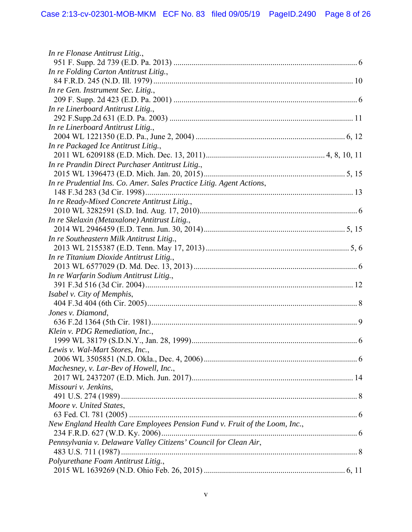| In re Flonase Antitrust Litig.,                                            |  |
|----------------------------------------------------------------------------|--|
|                                                                            |  |
| In re Folding Carton Antitrust Litig.,                                     |  |
|                                                                            |  |
| In re Gen. Instrument Sec. Litig.,                                         |  |
|                                                                            |  |
| In re Linerboard Antitrust Litig.,                                         |  |
|                                                                            |  |
| In re Linerboard Antitrust Litig.,                                         |  |
|                                                                            |  |
| In re Packaged Ice Antitrust Litig.,                                       |  |
|                                                                            |  |
| In re Prandin Direct Purchaser Antitrust Litig.,                           |  |
|                                                                            |  |
| In re Prudential Ins. Co. Amer. Sales Practice Litig. Agent Actions,       |  |
|                                                                            |  |
| In re Ready-Mixed Concrete Antitrust Litig.,                               |  |
|                                                                            |  |
| In re Skelaxin (Metaxalone) Antitrust Litig.,                              |  |
|                                                                            |  |
| In re Southeastern Milk Antitrust Litig.,                                  |  |
|                                                                            |  |
| In re Titanium Dioxide Antitrust Litig.,                                   |  |
|                                                                            |  |
| In re Warfarin Sodium Antitrust Litig.,                                    |  |
|                                                                            |  |
| Isabel v. City of Memphis,                                                 |  |
|                                                                            |  |
| Jones v. Diamond,                                                          |  |
|                                                                            |  |
| Klein v. PDG Remediation, Inc.,                                            |  |
|                                                                            |  |
| Lewis v. Wal-Mart Stores, Inc.                                             |  |
|                                                                            |  |
| Machesney, v. Lar-Bev of Howell, Inc.,                                     |  |
|                                                                            |  |
| Missouri v. Jenkins,                                                       |  |
|                                                                            |  |
| Moore v. United States,                                                    |  |
|                                                                            |  |
| New England Health Care Employees Pension Fund v. Fruit of the Loom, Inc., |  |
|                                                                            |  |
| Pennsylvania v. Delaware Valley Citizens' Council for Clean Air,           |  |
|                                                                            |  |
| Polyurethane Foam Antitrust Litig.,                                        |  |
|                                                                            |  |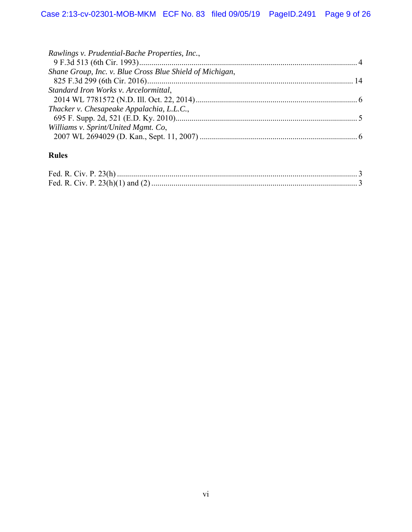| Rawlings v. Prudential-Bache Properties, Inc.,           |  |
|----------------------------------------------------------|--|
|                                                          |  |
| Shane Group, Inc. v. Blue Cross Blue Shield of Michigan, |  |
|                                                          |  |
| Standard Iron Works v. Arcelormittal,                    |  |
|                                                          |  |
| Thacker v. Chesapeake Appalachia, L.L.C.,                |  |
|                                                          |  |
| Williams v. Sprint/United Mgmt. Co,                      |  |
|                                                          |  |
|                                                          |  |

# **Rules**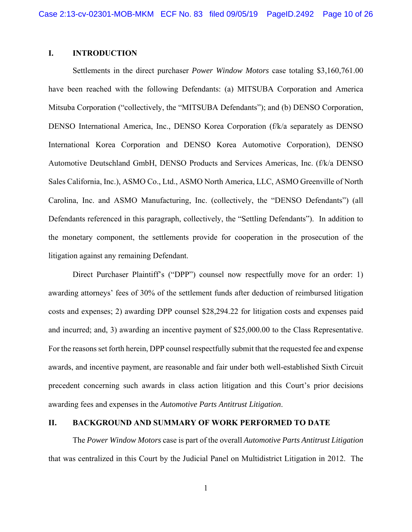### **I. INTRODUCTION**

Settlements in the direct purchaser *Power Window Motors* case totaling \$3,160,761.00 have been reached with the following Defendants: (a) MITSUBA Corporation and America Mitsuba Corporation ("collectively, the "MITSUBA Defendants"); and (b) DENSO Corporation, DENSO International America, Inc., DENSO Korea Corporation (f/k/a separately as DENSO International Korea Corporation and DENSO Korea Automotive Corporation), DENSO Automotive Deutschland GmbH, DENSO Products and Services Americas, Inc. (f/k/a DENSO Sales California, Inc.), ASMO Co., Ltd., ASMO North America, LLC, ASMO Greenville of North Carolina, Inc. and ASMO Manufacturing, Inc. (collectively, the "DENSO Defendants") (all Defendants referenced in this paragraph, collectively, the "Settling Defendants"). In addition to the monetary component, the settlements provide for cooperation in the prosecution of the litigation against any remaining Defendant.

Direct Purchaser Plaintiff's ("DPP") counsel now respectfully move for an order: 1) awarding attorneys' fees of 30% of the settlement funds after deduction of reimbursed litigation costs and expenses; 2) awarding DPP counsel \$28,294.22 for litigation costs and expenses paid and incurred; and, 3) awarding an incentive payment of \$25,000.00 to the Class Representative. For the reasons set forth herein, DPP counsel respectfully submit that the requested fee and expense awards, and incentive payment, are reasonable and fair under both well-established Sixth Circuit precedent concerning such awards in class action litigation and this Court's prior decisions awarding fees and expenses in the *Automotive Parts Antitrust Litigation*.

### **II. BACKGROUND AND SUMMARY OF WORK PERFORMED TO DATE**

The *Power Window Motors* case is part of the overall *Automotive Parts Antitrust Litigation* that was centralized in this Court by the Judicial Panel on Multidistrict Litigation in 2012. The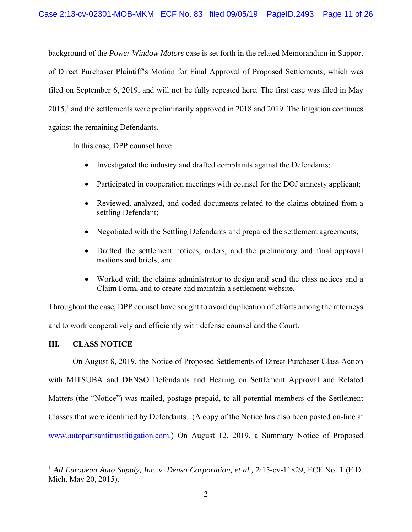background of the *Power Window Motors* case is set forth in the related Memorandum in Support of Direct Purchaser Plaintiff's Motion for Final Approval of Proposed Settlements, which was filed on September 6, 2019, and will not be fully repeated here. The first case was filed in May  $2015<sup>1</sup>$  and the settlements were preliminarily approved in 2018 and 2019. The litigation continues against the remaining Defendants.

In this case, DPP counsel have:

- Investigated the industry and drafted complaints against the Defendants;
- Participated in cooperation meetings with counsel for the DOJ amnesty applicant;
- Reviewed, analyzed, and coded documents related to the claims obtained from a settling Defendant;
- Negotiated with the Settling Defendants and prepared the settlement agreements;
- Drafted the settlement notices, orders, and the preliminary and final approval motions and briefs; and
- Worked with the claims administrator to design and send the class notices and a Claim Form, and to create and maintain a settlement website.

Throughout the case, DPP counsel have sought to avoid duplication of efforts among the attorneys and to work cooperatively and efficiently with defense counsel and the Court.

#### **III. CLASS NOTICE**

 $\overline{a}$ 

On August 8, 2019, the Notice of Proposed Settlements of Direct Purchaser Class Action with MITSUBA and DENSO Defendants and Hearing on Settlement Approval and Related Matters (the "Notice") was mailed, postage prepaid, to all potential members of the Settlement Classes that were identified by Defendants. (A copy of the Notice has also been posted on-line at www.autopartsantitrustlitigation.com.) On August 12, 2019, a Summary Notice of Proposed

<sup>&</sup>lt;sup>1</sup> *All European Auto Supply, Inc. v. Denso Corporation, et al., 2:15-cv-11829, ECF No. 1 (E.D.*) Mich. May 20, 2015).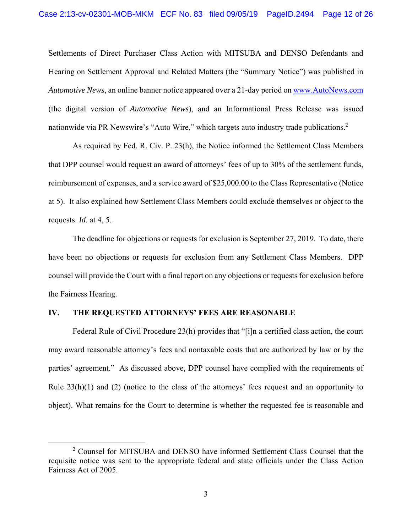Settlements of Direct Purchaser Class Action with MITSUBA and DENSO Defendants and Hearing on Settlement Approval and Related Matters (the "Summary Notice") was published in *Automotive News*, an online banner notice appeared over a 21-day period on www.AutoNews.com (the digital version of *Automotive News*), and an Informational Press Release was issued nationwide via PR Newswire's "Auto Wire," which targets auto industry trade publications.<sup>2</sup>

As required by Fed. R. Civ. P. 23(h), the Notice informed the Settlement Class Members that DPP counsel would request an award of attorneys' fees of up to 30% of the settlement funds, reimbursement of expenses, and a service award of \$25,000.00 to the Class Representative (Notice at 5). It also explained how Settlement Class Members could exclude themselves or object to the requests. *Id*. at 4, 5.

The deadline for objections or requests for exclusion is September 27, 2019. To date, there have been no objections or requests for exclusion from any Settlement Class Members. DPP counsel will provide the Court with a final report on any objections or requests for exclusion before the Fairness Hearing.

#### **IV. THE REQUESTED ATTORNEYS' FEES ARE REASONABLE**

 Federal Rule of Civil Procedure 23(h) provides that "[i]n a certified class action, the court may award reasonable attorney's fees and nontaxable costs that are authorized by law or by the parties' agreement." As discussed above, DPP counsel have complied with the requirements of Rule  $23(h)(1)$  and  $(2)$  (notice to the class of the attorneys' fees request and an opportunity to object). What remains for the Court to determine is whether the requested fee is reasonable and

 $\frac{1}{2}$ <sup>2</sup> Counsel for MITSUBA and DENSO have informed Settlement Class Counsel that the requisite notice was sent to the appropriate federal and state officials under the Class Action Fairness Act of 2005.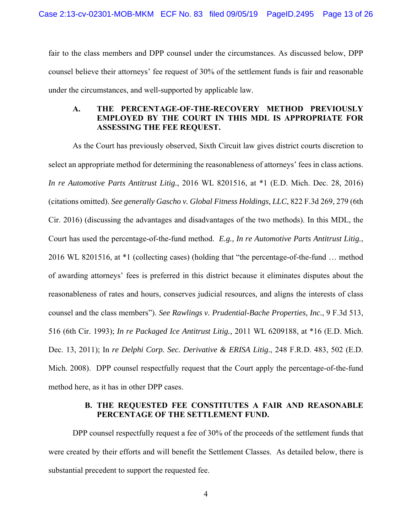fair to the class members and DPP counsel under the circumstances. As discussed below, DPP counsel believe their attorneys' fee request of 30% of the settlement funds is fair and reasonable under the circumstances, and well-supported by applicable law.

## **A. THE PERCENTAGE-OF-THE-RECOVERY METHOD PREVIOUSLY EMPLOYED BY THE COURT IN THIS MDL IS APPROPRIATE FOR ASSESSING THE FEE REQUEST.**

 As the Court has previously observed, Sixth Circuit law gives district courts discretion to select an appropriate method for determining the reasonableness of attorneys' fees in class actions. *In re Automotive Parts Antitrust Litig.*, 2016 WL 8201516, at \*1 (E.D. Mich. Dec. 28, 2016) (citations omitted). *See generally Gascho v. Global Fitness Holdings, LLC*, 822 F.3d 269, 279 (6th Cir. 2016) (discussing the advantages and disadvantages of the two methods). In this MDL, the Court has used the percentage-of-the-fund method. *E.g., In re Automotive Parts Antitrust Litig.*, 2016 WL 8201516, at \*1 (collecting cases) (holding that "the percentage-of-the-fund … method of awarding attorneys' fees is preferred in this district because it eliminates disputes about the reasonableness of rates and hours, conserves judicial resources, and aligns the interests of class counsel and the class members"). *See Rawlings v. Prudential-Bache Properties, Inc.*, 9 F.3d 513, 516 (6th Cir. 1993); *In re Packaged Ice Antitrust Litig.,* 2011 WL 6209188, at \*16 (E.D. Mich. Dec. 13, 2011); In *re Delphi Corp. Sec. Derivative & ERISA Litig.*, 248 F.R.D. 483, 502 (E.D. Mich. 2008). DPP counsel respectfully request that the Court apply the percentage-of-the-fund method here, as it has in other DPP cases.

#### **B. THE REQUESTED FEE CONSTITUTES A FAIR AND REASONABLE PERCENTAGE OF THE SETTLEMENT FUND.**

 DPP counsel respectfully request a fee of 30% of the proceeds of the settlement funds that were created by their efforts and will benefit the Settlement Classes. As detailed below, there is substantial precedent to support the requested fee.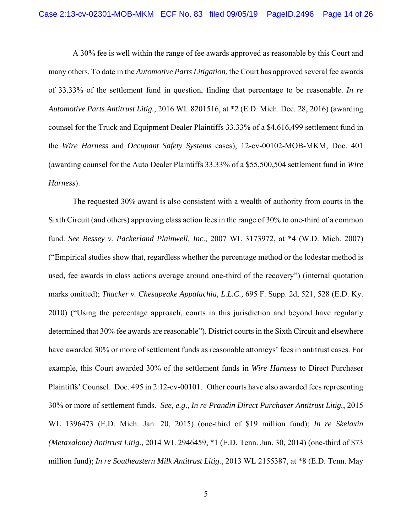A 30% fee is well within the range of fee awards approved as reasonable by this Court and many others. To date in the *Automotive Parts Litigation*, the Court has approved several fee awards of 33.33% of the settlement fund in question, finding that percentage to be reasonable. *In re Automotive Parts Antitrust Litig.*, 2016 WL 8201516, at \*2 (E.D. Mich. Dec. 28, 2016) (awarding counsel for the Truck and Equipment Dealer Plaintiffs 33.33% of a \$4,616,499 settlement fund in the *Wire Harness* and *Occupant Safety Systems* cases); 12-cv-00102-MOB-MKM, Doc. 401 (awarding counsel for the Auto Dealer Plaintiffs 33.33% of a \$55,500,504 settlement fund in *Wire Harness*).

The requested 30% award is also consistent with a wealth of authority from courts in the Sixth Circuit (and others) approving class action fees in the range of 30% to one-third of a common fund. *See Bessey v. Packerland Plainwell, Inc*., 2007 WL 3173972, at \*4 (W.D. Mich. 2007) ("Empirical studies show that, regardless whether the percentage method or the lodestar method is used, fee awards in class actions average around one-third of the recovery") (internal quotation marks omitted); *Thacker v. Chesapeake Appalachia, L.L.C.,* 695 F. Supp. 2d, 521, 528 (E.D. Ky. 2010) ("Using the percentage approach, courts in this jurisdiction and beyond have regularly determined that 30% fee awards are reasonable"). District courts in the Sixth Circuit and elsewhere have awarded 30% or more of settlement funds as reasonable attorneys' fees in antitrust cases. For example, this Court awarded 30% of the settlement funds in *Wire Harness* to Direct Purchaser Plaintiffs' Counsel. Doc. 495 in 2:12-cv-00101. Other courts have also awarded fees representing 30% or more of settlement funds. *See, e.g*., *In re Prandin Direct Purchaser Antitrust Litig.*, 2015 WL 1396473 (E.D. Mich. Jan. 20, 2015) (one-third of \$19 million fund); *In re Skelaxin (Metaxalone) Antitrust Litig.*, 2014 WL 2946459, \*1 (E.D. Tenn. Jun. 30, 2014) (one-third of \$73 million fund); *In re Southeastern Milk Antitrust Litig.*, 2013 WL 2155387, at \*8 (E.D. Tenn. May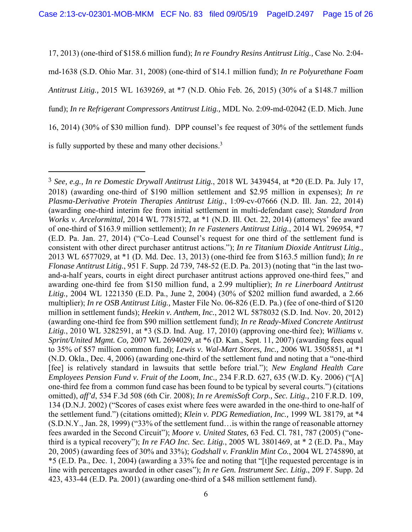17, 2013) (one-third of \$158.6 million fund); *In re Foundry Resins Antitrust Litig.,* Case No. 2:04 md-1638 (S.D. Ohio Mar. 31, 2008) (one-third of \$14.1 million fund); *In re Polyurethane Foam Antitrust Litig.,* 2015 WL 1639269, at \*7 (N.D. Ohio Feb. 26, 2015) (30% of a \$148.7 million fund); *In re Refrigerant Compressors Antitrust Litig.,* MDL No. 2:09-md-02042 (E.D. Mich. June 16, 2014) (30% of \$30 million fund). DPP counsel's fee request of 30% of the settlement funds is fully supported by these and many other decisions.<sup>3</sup>

 $\overline{a}$ 

<sup>3</sup> *See, e.g., In re Domestic Drywall Antitrust Litig.*, 2018 WL 3439454, at \*20 (E.D. Pa. July 17, 2018) (awarding one-third of \$190 million settlement and \$2.95 million in expenses); *In re Plasma-Derivative Protein Therapies Antitrust Litig.*, 1:09-cv-07666 (N.D. Ill. Jan. 22, 2014) (awarding one-third interim fee from initial settlement in multi-defendant case); *Standard Iron Works v. Arcelormittal,* 2014 WL 7781572, at \*1 (N.D. Ill. Oct. 22, 2014) (attorneys' fee award of one-third of \$163.9 million settlement); *In re Fasteners Antitrust Litig.*, 2014 WL 296954, \*7 (E.D. Pa. Jan. 27, 2014) ("Co–Lead Counsel's request for one third of the settlement fund is consistent with other direct purchaser antitrust actions."); *In re Titanium Dioxide Antitrust Litig.,* 2013 WL 6577029, at \*1 (D. Md. Dec. 13, 2013) (one-third fee from \$163.5 million fund); *In re Flonase Antitrust Litig.*, 951 F. Supp. 2d 739, 748-52 (E.D. Pa. 2013) (noting that "in the last twoand-a-half years, courts in eight direct purchaser antitrust actions approved one-third fees," and awarding one-third fee from \$150 million fund, a 2.99 multiplier); *In re Linerboard Antitrust Litig.,* 2004 WL 1221350 (E.D. Pa., June 2, 2004) (30% of \$202 million fund awarded, a 2.66 multiplier); *In re OSB Antitrust Litig.,* Master File No. 06-826 (E.D. Pa.) (fee of one-third of \$120 million in settlement funds); *Heekin v. Anthem, Inc.*, 2012 WL 5878032 (S.D. Ind. Nov. 20, 2012) (awarding one-third fee from \$90 million settlement fund); *In re Ready-Mixed Concrete Antitrust Litig.*, 2010 WL 3282591, at \*3 (S.D. Ind. Aug. 17, 2010) (approving one-third fee); *Williams v. Sprint/United Mgmt. Co,* 2007 WL 2694029, at \*6 (D. Kan., Sept. 11, 2007) (awarding fees equal to 35% of \$57 million common fund); *Lewis v. Wal-Mart Stores, Inc.,* 2006 WL 3505851, at \*1 (N.D. Okla., Dec. 4, 2006) (awarding one-third of the settlement fund and noting that a "one-third [fee] is relatively standard in lawsuits that settle before trial."); *New England Health Care Employees Pension Fund v. Fruit of the Loom, Inc.,* 234 F.R.D. 627, 635 (W.D. Ky. 2006) ("[A] one-third fee from a common fund case has been found to be typical by several courts.") (citations omitted), *aff'd*, 534 F.3d 508 (6th Cir. 2008); *In re AremisSoft Corp., Sec. Litig.,* 210 F.R.D. 109, 134 (D.N.J. 2002) ("Scores of cases exist where fees were awarded in the one-third to one-half of the settlement fund.") (citations omitted); *Klein v. PDG Remediation, Inc.,* 1999 WL 38179, at \*4 (S.D.N.Y., Jan. 28, 1999) ("33% of the settlement fund…is within the range of reasonable attorney fees awarded in the Second Circuit"); *Moore v. United States,* 63 Fed. Cl. 781, 787 (2005) ("onethird is a typical recovery"); *In re FAO Inc. Sec. Litig.*, 2005 WL 3801469, at \* 2 (E.D. Pa., May 20, 2005) (awarding fees of 30% and 33%); *Godshall v. Franklin Mint Co.*, 2004 WL 2745890, at \*5 (E.D. Pa., Dec. 1, 2004) (awarding a 33% fee and noting that "[t]he requested percentage is in line with percentages awarded in other cases"); *In re Gen. Instrument Sec. Litig.*, 209 F. Supp. 2d 423, 433-44 (E.D. Pa. 2001) (awarding one-third of a \$48 million settlement fund).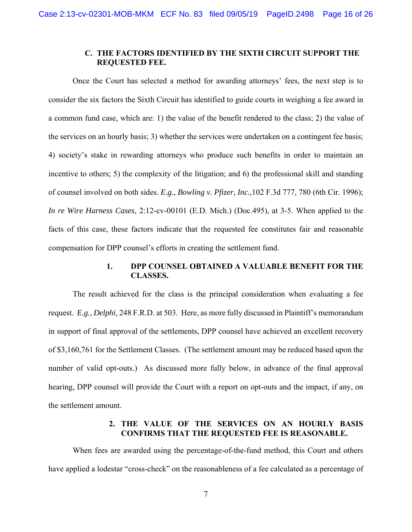### **C. THE FACTORS IDENTIFIED BY THE SIXTH CIRCUIT SUPPORT THE REQUESTED FEE.**

Once the Court has selected a method for awarding attorneys' fees, the next step is to consider the six factors the Sixth Circuit has identified to guide courts in weighing a fee award in a common fund case, which are: 1) the value of the benefit rendered to the class; 2) the value of the services on an hourly basis; 3) whether the services were undertaken on a contingent fee basis; 4) society's stake in rewarding attorneys who produce such benefits in order to maintain an incentive to others; 5) the complexity of the litigation; and 6) the professional skill and standing of counsel involved on both sides. *E.g., Bowling v. Pfizer, Inc.,*102 F.3d 777, 780 (6th Cir. 1996); *In re Wire Harness Cases*, 2:12-cv-00101 (E.D. Mich.) (Doc.495), at 3-5. When applied to the facts of this case, these factors indicate that the requested fee constitutes fair and reasonable compensation for DPP counsel's efforts in creating the settlement fund.

## **1. DPP COUNSEL OBTAINED A VALUABLE BENEFIT FOR THE CLASSES.**

 The result achieved for the class is the principal consideration when evaluating a fee request. *E.g., Delphi,* 248 F.R.D. at 503. Here, as more fully discussed in Plaintiff's memorandum in support of final approval of the settlements, DPP counsel have achieved an excellent recovery of \$3,160,761 for the Settlement Classes. (The settlement amount may be reduced based upon the number of valid opt-outs.) As discussed more fully below, in advance of the final approval hearing, DPP counsel will provide the Court with a report on opt-outs and the impact, if any, on the settlement amount.

## **2. THE VALUE OF THE SERVICES ON AN HOURLY BASIS CONFIRMS THAT THE REQUESTED FEE IS REASONABLE.**

 When fees are awarded using the percentage-of-the-fund method, this Court and others have applied a lodestar "cross-check" on the reasonableness of a fee calculated as a percentage of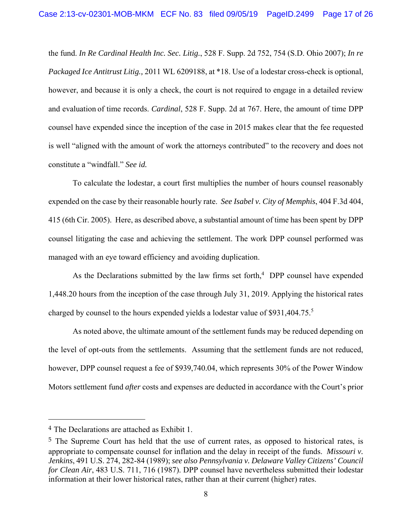the fund. *In Re Cardinal Health Inc. Sec. Litig.*, 528 F. Supp. 2d 752, 754 (S.D. Ohio 2007); *In re Packaged Ice Antitrust Litig.,* 2011 WL 6209188, at \*18. Use of a lodestar cross-check is optional, however, and because it is only a check, the court is not required to engage in a detailed review and evaluation of time records. *Cardinal*, 528 F. Supp. 2d at 767. Here, the amount of time DPP counsel have expended since the inception of the case in 2015 makes clear that the fee requested is well "aligned with the amount of work the attorneys contributed" to the recovery and does not constitute a "windfall." *See id.*

 To calculate the lodestar, a court first multiplies the number of hours counsel reasonably expended on the case by their reasonable hourly rate. *See Isabel v. City of Memphis*, 404 F.3d 404, 415 (6th Cir. 2005). Here, as described above, a substantial amount of time has been spent by DPP counsel litigating the case and achieving the settlement. The work DPP counsel performed was managed with an eye toward efficiency and avoiding duplication.

As the Declarations submitted by the law firms set forth, $4$  DPP counsel have expended 1,448.20 hours from the inception of the case through July 31, 2019. Applying the historical rates charged by counsel to the hours expended yields a lodestar value of \$931,404.75.<sup>5</sup>

 As noted above, the ultimate amount of the settlement funds may be reduced depending on the level of opt-outs from the settlements. Assuming that the settlement funds are not reduced, however, DPP counsel request a fee of \$939,740.04, which represents 30% of the Power Window Motors settlement fund *after* costs and expenses are deducted in accordance with the Court's prior

 $\overline{a}$ 

<sup>4</sup> The Declarations are attached as Exhibit 1.

 $5$  The Supreme Court has held that the use of current rates, as opposed to historical rates, is appropriate to compensate counsel for inflation and the delay in receipt of the funds. *Missouri v. Jenkins*, 491 U.S. 274, 282-84 (1989); *see also Pennsylvania v. Delaware Valley Citizens' Council for Clean Air*, 483 U.S. 711, 716 (1987). DPP counsel have nevertheless submitted their lodestar information at their lower historical rates, rather than at their current (higher) rates.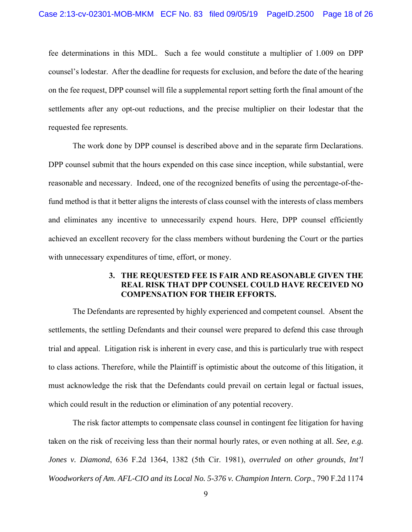fee determinations in this MDL. Such a fee would constitute a multiplier of 1.009 on DPP counsel's lodestar. After the deadline for requests for exclusion, and before the date of the hearing on the fee request, DPP counsel will file a supplemental report setting forth the final amount of the settlements after any opt-out reductions, and the precise multiplier on their lodestar that the requested fee represents.

 The work done by DPP counsel is described above and in the separate firm Declarations. DPP counsel submit that the hours expended on this case since inception, while substantial, were reasonable and necessary. Indeed, one of the recognized benefits of using the percentage-of-thefund method is that it better aligns the interests of class counsel with the interests of class members and eliminates any incentive to unnecessarily expend hours. Here, DPP counsel efficiently achieved an excellent recovery for the class members without burdening the Court or the parties with unnecessary expenditures of time, effort, or money.

#### **3. THE REQUESTED FEE IS FAIR AND REASONABLE GIVEN THE REAL RISK THAT DPP COUNSEL COULD HAVE RECEIVED NO COMPENSATION FOR THEIR EFFORTS.**

The Defendants are represented by highly experienced and competent counsel. Absent the settlements, the settling Defendants and their counsel were prepared to defend this case through trial and appeal. Litigation risk is inherent in every case, and this is particularly true with respect to class actions. Therefore, while the Plaintiff is optimistic about the outcome of this litigation, it must acknowledge the risk that the Defendants could prevail on certain legal or factual issues, which could result in the reduction or elimination of any potential recovery.

The risk factor attempts to compensate class counsel in contingent fee litigation for having taken on the risk of receiving less than their normal hourly rates, or even nothing at all. *See, e.g. Jones v. Diamond*, 636 F.2d 1364, 1382 (5th Cir. 1981), *overruled on other grounds*, *Int'l Woodworkers of Am. AFL-CIO and its Local No. 5-376 v. Champion Intern. Corp*., 790 F.2d 1174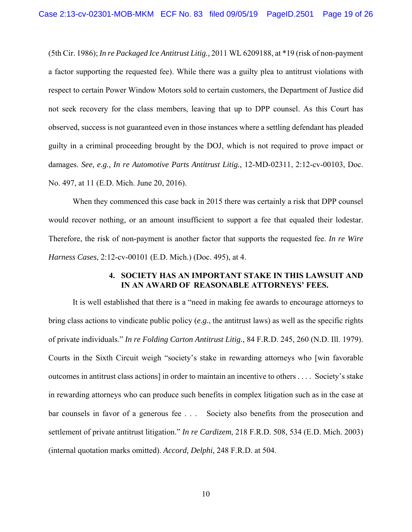(5th Cir. 1986); *In re Packaged Ice Antitrust Litig.,* 2011 WL 6209188, at \*19 (risk of non-payment a factor supporting the requested fee). While there was a guilty plea to antitrust violations with respect to certain Power Window Motors sold to certain customers, the Department of Justice did not seek recovery for the class members, leaving that up to DPP counsel. As this Court has observed, success is not guaranteed even in those instances where a settling defendant has pleaded guilty in a criminal proceeding brought by the DOJ, which is not required to prove impact or damages. *See, e.g., In re Automotive Parts Antitrust Litig.,* 12-MD-02311, 2:12-cv-00103, Doc. No. 497, at 11 (E.D. Mich. June 20, 2016).

When they commenced this case back in 2015 there was certainly a risk that DPP counsel would recover nothing, or an amount insufficient to support a fee that equaled their lodestar. Therefore, the risk of non-payment is another factor that supports the requested fee. *In re Wire Harness Cases*, 2:12-cv-00101 (E.D. Mich.) (Doc. 495), at 4.

#### **4. SOCIETY HAS AN IMPORTANT STAKE IN THIS LAWSUIT AND IN AN AWARD OF REASONABLE ATTORNEYS' FEES.**

It is well established that there is a "need in making fee awards to encourage attorneys to bring class actions to vindicate public policy (*e.g.*, the antitrust laws) as well as the specific rights of private individuals." *In re Folding Carton Antitrust Litig.*, 84 F.R.D. 245, 260 (N.D. Ill. 1979). Courts in the Sixth Circuit weigh "society's stake in rewarding attorneys who [win favorable outcomes in antitrust class actions] in order to maintain an incentive to others . . . . Society's stake in rewarding attorneys who can produce such benefits in complex litigation such as in the case at bar counsels in favor of a generous fee . . . Society also benefits from the prosecution and settlement of private antitrust litigation." *In re Cardizem*, 218 F.R.D. 508, 534 (E.D. Mich. 2003) (internal quotation marks omitted). *Accord, Delphi,* 248 F.R.D. at 504.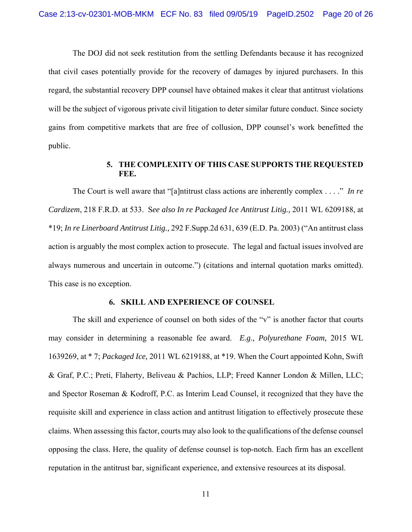The DOJ did not seek restitution from the settling Defendants because it has recognized that civil cases potentially provide for the recovery of damages by injured purchasers. In this regard, the substantial recovery DPP counsel have obtained makes it clear that antitrust violations will be the subject of vigorous private civil litigation to deter similar future conduct. Since society gains from competitive markets that are free of collusion, DPP counsel's work benefitted the public.

### **5. THE COMPLEXITY OF THIS CASE SUPPORTS THE REQUESTED FEE.**

The Court is well aware that "[a]ntitrust class actions are inherently complex . . . ." *In re Cardizem*, 218 F.R.D. at 533. S*ee also In re Packaged Ice Antitrust Litig.,* 2011 WL 6209188, at \*19; *In re Linerboard Antitrust Litig.,* 292 F.Supp.2d 631, 639 (E.D. Pa. 2003) ("An antitrust class action is arguably the most complex action to prosecute. The legal and factual issues involved are always numerous and uncertain in outcome.") (citations and internal quotation marks omitted). This case is no exception.

#### **6. SKILL AND EXPERIENCE OF COUNSEL**

The skill and experience of counsel on both sides of the "v" is another factor that courts may consider in determining a reasonable fee award. *E.g., Polyurethane Foam,* 2015 WL 1639269, at \* 7; *Packaged Ice,* 2011 WL 6219188, at \*19. When the Court appointed Kohn, Swift & Graf, P.C.; Preti, Flaherty, Beliveau & Pachios, LLP; Freed Kanner London & Millen, LLC; and Spector Roseman & Kodroff, P.C. as Interim Lead Counsel, it recognized that they have the requisite skill and experience in class action and antitrust litigation to effectively prosecute these claims. When assessing this factor, courts may also look to the qualifications of the defense counsel opposing the class. Here, the quality of defense counsel is top-notch. Each firm has an excellent reputation in the antitrust bar, significant experience, and extensive resources at its disposal.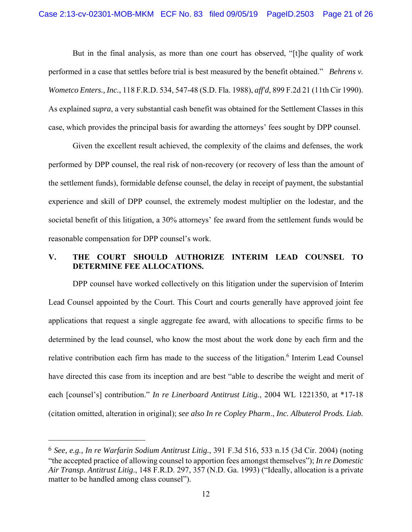But in the final analysis, as more than one court has observed, "[t]he quality of work performed in a case that settles before trial is best measured by the benefit obtained." *Behrens v. Wometco Enters., Inc.*, 118 F.R.D. 534, 547-48 (S.D. Fla. 1988), *aff'd*, 899 F.2d 21 (11th Cir 1990). As explained *supra*, a very substantial cash benefit was obtained for the Settlement Classes in this case, which provides the principal basis for awarding the attorneys' fees sought by DPP counsel.

Given the excellent result achieved, the complexity of the claims and defenses, the work performed by DPP counsel, the real risk of non-recovery (or recovery of less than the amount of the settlement funds), formidable defense counsel, the delay in receipt of payment, the substantial experience and skill of DPP counsel, the extremely modest multiplier on the lodestar, and the societal benefit of this litigation, a 30% attorneys' fee award from the settlement funds would be reasonable compensation for DPP counsel's work.

### **V. THE COURT SHOULD AUTHORIZE INTERIM LEAD COUNSEL TO DETERMINE FEE ALLOCATIONS.**

 DPP counsel have worked collectively on this litigation under the supervision of Interim Lead Counsel appointed by the Court. This Court and courts generally have approved joint fee applications that request a single aggregate fee award, with allocations to specific firms to be determined by the lead counsel, who know the most about the work done by each firm and the relative contribution each firm has made to the success of the litigation.<sup>6</sup> Interim Lead Counsel have directed this case from its inception and are best "able to describe the weight and merit of each [counsel's] contribution." *In re Linerboard Antitrust Litig.*, 2004 WL 1221350, at \*17-18 (citation omitted, alteration in original); *see also In re Copley Pharm*., *Inc. Albuterol Prods. Liab.* 

 $\overline{a}$ 

<sup>6</sup> *See, e.g., In re Warfarin Sodium Antitrust Litig.*, 391 F.3d 516, 533 n.15 (3d Cir. 2004) (noting "the accepted practice of allowing counsel to apportion fees amongst themselves"); *In re Domestic Air Transp. Antitrust Litig*., 148 F.R.D. 297, 357 (N.D. Ga. 1993) ("Ideally, allocation is a private matter to be handled among class counsel").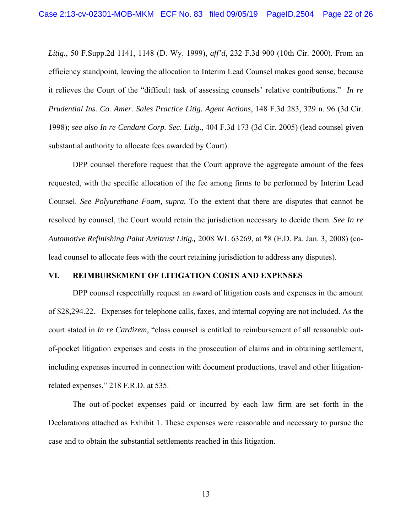*Litig.*, 50 F.Supp.2d 1141, 1148 (D. Wy. 1999), *aff'd*, 232 F.3d 900 (10th Cir. 2000). From an efficiency standpoint, leaving the allocation to Interim Lead Counsel makes good sense, because it relieves the Court of the "difficult task of assessing counsels' relative contributions." *In re Prudential Ins. Co. Amer. Sales Practice Litig. Agent Actions*, 148 F.3d 283, 329 n. 96 (3d Cir. 1998); *see also In re Cendant Corp. Sec. Litig*., 404 F.3d 173 (3d Cir. 2005) (lead counsel given substantial authority to allocate fees awarded by Court).

 DPP counsel therefore request that the Court approve the aggregate amount of the fees requested, with the specific allocation of the fee among firms to be performed by Interim Lead Counsel. *See Polyurethane Foam, supra.* To the extent that there are disputes that cannot be resolved by counsel, the Court would retain the jurisdiction necessary to decide them. *See In re Automotive Refinishing Paint Antitrust Litig.,* 2008 WL 63269, at \*8 (E.D. Pa. Jan. 3, 2008) (colead counsel to allocate fees with the court retaining jurisdiction to address any disputes).

#### **VI. REIMBURSEMENT OF LITIGATION COSTS AND EXPENSES**

 DPP counsel respectfully request an award of litigation costs and expenses in the amount of \$28,294.22. Expenses for telephone calls, faxes, and internal copying are not included. As the court stated in *In re Cardizem*, "class counsel is entitled to reimbursement of all reasonable outof-pocket litigation expenses and costs in the prosecution of claims and in obtaining settlement, including expenses incurred in connection with document productions, travel and other litigationrelated expenses." 218 F.R.D. at 535.

 The out-of-pocket expenses paid or incurred by each law firm are set forth in the Declarations attached as Exhibit 1. These expenses were reasonable and necessary to pursue the case and to obtain the substantial settlements reached in this litigation.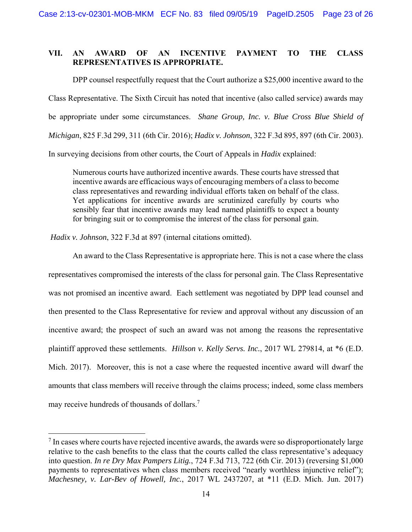#### **VII. AN AWARD OF AN INCENTIVE PAYMENT TO THE CLASS REPRESENTATIVES IS APPROPRIATE.**

DPP counsel respectfully request that the Court authorize a \$25,000 incentive award to the Class Representative. The Sixth Circuit has noted that incentive (also called service) awards may be appropriate under some circumstances. *Shane Group, Inc. v. Blue Cross Blue Shield of Michigan*, 825 F.3d 299, 311 (6th Cir. 2016); *Hadix v. Johnson*, 322 F.3d 895, 897 (6th Cir. 2003). In surveying decisions from other courts, the Court of Appeals in *Hadix* explained:

Numerous courts have authorized incentive awards. These courts have stressed that incentive awards are efficacious ways of encouraging members of a class to become class representatives and rewarding individual efforts taken on behalf of the class. Yet applications for incentive awards are scrutinized carefully by courts who sensibly fear that incentive awards may lead named plaintiffs to expect a bounty for bringing suit or to compromise the interest of the class for personal gain.

*Hadix v. Johnson*, 322 F.3d at 897 (internal citations omitted).

 $\overline{a}$ 

 An award to the Class Representative is appropriate here. This is not a case where the class representatives compromised the interests of the class for personal gain. The Class Representative was not promised an incentive award. Each settlement was negotiated by DPP lead counsel and then presented to the Class Representative for review and approval without any discussion of an incentive award; the prospect of such an award was not among the reasons the representative plaintiff approved these settlements. *Hillson v. Kelly Servs. Inc.*, 2017 WL 279814, at \*6 (E.D. Mich. 2017). Moreover, this is not a case where the requested incentive award will dwarf the amounts that class members will receive through the claims process; indeed, some class members may receive hundreds of thousands of dollars.<sup>7</sup>

 $<sup>7</sup>$  In cases where courts have rejected incentive awards, the awards were so disproportionately large</sup> relative to the cash benefits to the class that the courts called the class representative's adequacy into question. *In re Dry Max Pampers Litig.*, 724 F.3d 713, 722 (6th Cir. 2013) (reversing \$1,000 payments to representatives when class members received "nearly worthless injunctive relief"); *Machesney, v. Lar-Bev of Howell, Inc.*, 2017 WL 2437207, at \*11 (E.D. Mich. Jun. 2017)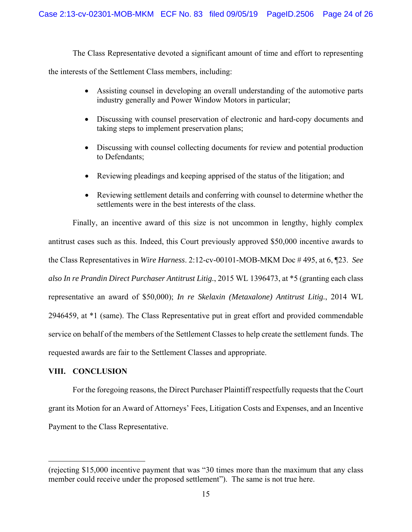The Class Representative devoted a significant amount of time and effort to representing the interests of the Settlement Class members, including:

- Assisting counsel in developing an overall understanding of the automotive parts industry generally and Power Window Motors in particular;
- Discussing with counsel preservation of electronic and hard-copy documents and taking steps to implement preservation plans;
- Discussing with counsel collecting documents for review and potential production to Defendants;
- Reviewing pleadings and keeping apprised of the status of the litigation; and
- Reviewing settlement details and conferring with counsel to determine whether the settlements were in the best interests of the class.

 Finally, an incentive award of this size is not uncommon in lengthy, highly complex antitrust cases such as this. Indeed, this Court previously approved \$50,000 incentive awards to the Class Representatives in *Wire Harness*. 2:12-cv-00101-MOB-MKM Doc # 495, at 6, ¶23. *See also In re Prandin Direct Purchaser Antitrust Litig.*, 2015 WL 1396473, at \*5 (granting each class representative an award of \$50,000); *In re Skelaxin (Metaxalone) Antitrust Litig.*, 2014 WL 2946459, at \*1 (same). The Class Representative put in great effort and provided commendable service on behalf of the members of the Settlement Classes to help create the settlement funds. The requested awards are fair to the Settlement Classes and appropriate.

## **VIII. CONCLUSION**

 $\overline{a}$ 

 For the foregoing reasons, the Direct Purchaser Plaintiff respectfully requests that the Court grant its Motion for an Award of Attorneys' Fees, Litigation Costs and Expenses, and an Incentive Payment to the Class Representative.

<sup>(</sup>rejecting \$15,000 incentive payment that was "30 times more than the maximum that any class member could receive under the proposed settlement"). The same is not true here.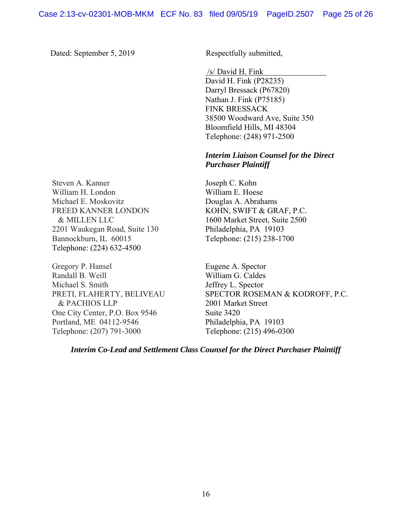Dated: September 5, 2019 Respectfully submitted,

/s/ David H. Fink

David H. Fink (P28235) Darryl Bressack (P67820) Nathan J. Fink (P75185) FINK BRESSACK 38500 Woodward Ave, Suite 350 Bloomfield Hills, MI 48304 Telephone: (248) 971-2500

### *Interim Liaison Counsel for the Direct Purchaser Plaintiff*

Joseph C. Kohn William E. Hoese Douglas A. Abrahams KOHN, SWIFT & GRAF, P.C. 1600 Market Street, Suite 2500 Philadelphia, PA 19103 Telephone: (215) 238-1700

Eugene A. Spector William G. Caldes Jeffrey L. Spector SPECTOR ROSEMAN & KODROFF, P.C. 2001 Market Street Suite 3420 Philadelphia, PA 19103 Telephone: (215) 496-0300

*Interim Co-Lead and Settlement Class Counsel for the Direct Purchaser Plaintiff* 

Steven A. Kanner William H. London Michael E. Moskovitz FREED KANNER LONDON & MILLEN LLC 2201 Waukegan Road, Suite 130 Bannockburn, IL 60015 Telephone: (224) 632-4500

Gregory P. Hansel Randall B. Weill Michael S. Smith PRETI, FLAHERTY, BELIVEAU & PACHIOS LLP One City Center, P.O. Box 9546 Portland, ME 04112-9546 Telephone: (207) 791-3000